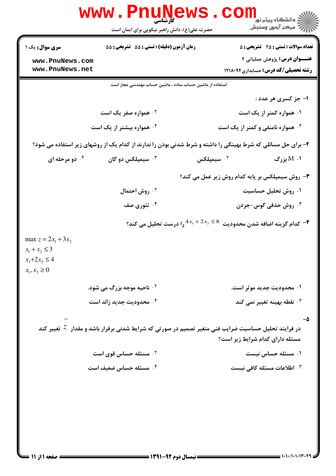|                                                                                        | WWW . PI<br>) 111<br>کارشناسی<br>حضرت علی(ع): دانش راهبر نیکویی برای ایمان است | ڪ دانشڪاه پيام نور ■<br>۾ مرکز آزمون وسنڊش                                                                                                |
|----------------------------------------------------------------------------------------|--------------------------------------------------------------------------------|-------------------------------------------------------------------------------------------------------------------------------------------|
| <b>سری سوال :</b> یک ۱                                                                 | زمان آزمون (دقیقه) : تستی : 55 گشریحی : 55                                     | <b>تعداد سوالات : تستی : 25 ۔ تشریحی : 5</b>                                                                                              |
| www.PnuNews.com<br>www.PnuNews.net                                                     |                                                                                | <b>عنـــوان درس:</b> پژوهش عملیاتی ۲<br><b>رشته تحصیلی/کد درس:</b> حسابداری1۲۱۸۰۹۴                                                        |
|                                                                                        | استفاده از ماشین حساب ساده ، ماشین حساب مهندسی مجاز است                        |                                                                                                                                           |
|                                                                                        |                                                                                | ا- جز کسری هر عدد :                                                                                                                       |
|                                                                                        | ۰۲ همواره صفر یک است                                                           | ۰۱ همواره کمتر از یک است                                                                                                                  |
|                                                                                        | ۰۴ همواره بیشتر از یک است                                                      | <b>4. همواره نامنفی و کمتر از یک است</b>                                                                                                  |
|                                                                                        |                                                                                | ۲- برای حل مسائلی که شرط بهینگی را داشته و شرط شدنی بودن را ندارند از کدام یک از روشهای زیر استفاده می شود؟                               |
| ۰۴ دو مرحله ای                                                                         | سیمپلکس دو گان $\cdot^{\mathsf{y}}$                                            | ۰۱. M بزرگ<br>۰ <sup>۲</sup> سیمپلکس                                                                                                      |
|                                                                                        |                                                                                | ۳- روش سیمپلکس بر پایه کدام روش زیر عمل می کند؟                                                                                           |
|                                                                                        | ۰ <sup>۲</sup> روش احتمال                                                      | ۰۱ روش تحلیل حساسیت                                                                                                                       |
|                                                                                        | ۰۴ تئوری صف                                                                    | ۰ <sup>۳</sup> روش حذفی گوس-جردن                                                                                                          |
|                                                                                        | وا درست تحلیل می کند؟ $4x_1+2x_2\leq 8$                                        | ۴–  كدام گزينه اضافه شدن محدوديت                                                                                                          |
| max $z = 2x_1 + 3x_2$<br>$x_1 + x_2 \leq 3$<br>$x_1 + 2x_2 \leq 4$<br>$x_1, x_2 \ge 0$ |                                                                                |                                                                                                                                           |
|                                                                                        | <b>گ ناحیه موجه بزرگ می شود.</b>                                               | ۰۱ محدودیت جدید موثر است.                                                                                                                 |
|                                                                                        | ۰۴ محدودیت جدید زائد است                                                       | نقطه بهينه تغيير نمى كند $\cdot^{\mathsf{y}}$                                                                                             |
|                                                                                        |                                                                                | در فرایند تحلیل حساسیت ضرایب فنی متغیر تصمیم در صورتی که شرایط شدنی برقرار باشد و مقدار $\,$ تغییر کند<br>مسئله دارای کدام شرایط زیر است؟ |
|                                                                                        | ۰۲ مسئله حساس قوی است                                                          | ۰۱ مسئله حساس نیست                                                                                                                        |
|                                                                                        | ۰۴ مسئله حساس ضعیف است                                                         | ۰۳ اطلاعات مسئله کافی نیست                                                                                                                |
| صفحه ۱ از ۱۱                                                                           | = نیمسال دوم ۹۲-۱۳۹۱ =                                                         |                                                                                                                                           |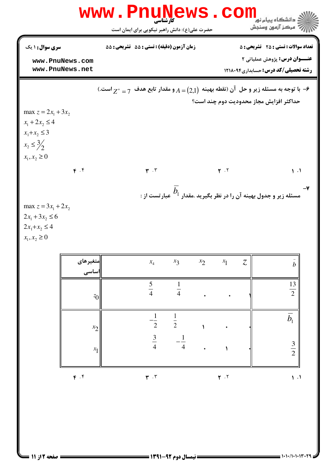|                                                                                         |                                    | <b>www.Pnu̯News</b>                                                                          |                                                 |                                |             |                | COM                           | ه دانشگاه پيام نور<br>" مرڪز آزمون وسنڊش                                                                                           |                                    |  |
|-----------------------------------------------------------------------------------------|------------------------------------|----------------------------------------------------------------------------------------------|-------------------------------------------------|--------------------------------|-------------|----------------|-------------------------------|------------------------------------------------------------------------------------------------------------------------------------|------------------------------------|--|
| سری سوال : ۱ یک                                                                         | www.PnuNews.com<br>www.PnuNews.net | زمان آزمون (دقيقه) : تستى : 55 - تشريحي : 55                                                 | حضرت علی(ع): دانش راهبر نیکویی برای ایمان است   |                                |             |                |                               | <b>تعداد سوالات : تستی : 25 ۔ تشریحی : 5</b><br><b>عنـــوان درس:</b> پژوهش عملیاتی ۲<br><b>رشته تحصیلی/کد درس:</b> حسابداری1۲۱۸۰۹۴ |                                    |  |
| max $z = 2x_1 + 3x_2$<br>$x_1 + 2x_2 \leq 4$<br>$x_1 + x_2 \leq 3$                      |                                    | ۰۶ با توجه به مسئله زیر و حل آن (نقطه بهینه $A = (2,1)$ و مقدار تابع هدف $z^* = z^*$ است.) + |                                                 |                                |             |                |                               | حداكثر افزايش مجاز محدوديت دوم چند است؟                                                                                            |                                    |  |
| $x_2 \leq \frac{3}{2}$<br>$x_1, x_2 \ge 0$                                              | F. f                               |                                                                                              | $\mathbf{r}$ . $\mathbf{r}$                     |                                |             | $Y \cdot Y$    |                               | . مسئله زیر و جدول بهینه آن را در نظر بگیرید .مقدار $b_1$ عبار تست از                                                              | $\mathcal{L}$ .                    |  |
| max $z = 3x_1 + 2x_2$<br>$2x_1 + 3x_2 \le 6$<br>$2x_1 + x_2 \leq 4$<br>$x_1, x_2 \ge 0$ | ∣ متغیرهای                         |                                                                                              | $x_4$                                           | $x_3$                          | $x_2$ $x_1$ |                | $\ensuremath{\mathnormal{Z}}$ |                                                                                                                                    |                                    |  |
|                                                                                         | اساسی<br>$z_{0}$                   |                                                                                              | $\frac{5}{4}$                                   | $\overline{4}$                 |             |                |                               |                                                                                                                                    | $\boldsymbol{b}$<br>$\frac{13}{2}$ |  |
|                                                                                         | $x_2$<br>$x_1$                     |                                                                                              | $\mathbf{1}$<br>$\overline{2}$<br>$\frac{3}{4}$ | $\frac{1}{2}$<br>$\frac{1}{4}$ |             |                |                               |                                                                                                                                    | $\overline{b}_1$<br>$rac{3}{2}$    |  |
|                                                                                         | F. f                               |                                                                                              | $\pmb{\mathfrak{r}}$ . $\pmb{\mathfrak{r}}$     |                                |             | $\mathbf{r}$ . |                               |                                                                                                                                    | 1.1                                |  |

 $= 1.1 - 11.1 - 11.17 - 19$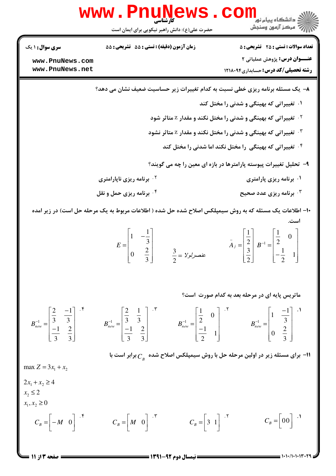|                                                        | <b>www . Pi</b><br>حضرت علی(ع): دانش راهبر نیکویی برای ایمان است                                                            |                                                 | د دانشڪاه پيام نور<br>7- مرڪز آزمون وسنڊش                                                                                                                                                                                                                                                                                                                                                                                |
|--------------------------------------------------------|-----------------------------------------------------------------------------------------------------------------------------|-------------------------------------------------|--------------------------------------------------------------------------------------------------------------------------------------------------------------------------------------------------------------------------------------------------------------------------------------------------------------------------------------------------------------------------------------------------------------------------|
| <b>سری سوال : ۱ یک</b>                                 | زمان آزمون (دقیقه) : تستی : 55 گشریحی : 55                                                                                  |                                                 | <b>تعداد سوالات : تستی : 25 گشریحی : 5</b>                                                                                                                                                                                                                                                                                                                                                                               |
| www.PnuNews.com<br>www.PnuNews.net                     |                                                                                                                             |                                                 | <b>عنـــوان درس:</b> پژوهش عملیاتی ۲<br><b>رشته تحصیلی/کد درس:</b> حسابداری1۲۱۸۰۹۴                                                                                                                                                                                                                                                                                                                                       |
|                                                        |                                                                                                                             |                                                 | ۸– یک مسئله برنامه ریزی خطی نسبت به کدام تغییرات زیر حساسیت ضعیف نشان می دهد؟                                                                                                                                                                                                                                                                                                                                            |
|                                                        |                                                                                                                             |                                                 | ۰۱ تغییراتی که بهینگی و شدنی را مختل کند                                                                                                                                                                                                                                                                                                                                                                                 |
|                                                        |                                                                                                                             |                                                 | <sup>۲ .</sup> تغییراتی که بهینگی و شدنی را مختل نکند و مقدار Z متاثر شود                                                                                                                                                                                                                                                                                                                                                |
|                                                        |                                                                                                                             |                                                 | <b>۳ قغییراتی که بهینگی و شدنی را مختل نکند و مقدار</b> Z متاثر نشود                                                                                                                                                                                                                                                                                                                                                     |
|                                                        |                                                                                                                             |                                                 | <sup>۰۴</sup> تغییراتی که بهینگی را مختل نکند اما شدنی را مختل کند                                                                                                                                                                                                                                                                                                                                                       |
|                                                        |                                                                                                                             |                                                 | ۹- تحلیل تغییرات پیوسته پارامترها در بازه ای معین را چه می گویند؟                                                                                                                                                                                                                                                                                                                                                        |
|                                                        | <sup>۲.</sup> برنامه ریزی ناپارامتری                                                                                        |                                                 | ۰۱ برنامه ریزی پارامتری                                                                                                                                                                                                                                                                                                                                                                                                  |
|                                                        | ۰۴ برنامه ریزی حمل و نقل                                                                                                    |                                                 | ۰ <sup>۳</sup> برنامه ریزی عدد صحیح                                                                                                                                                                                                                                                                                                                                                                                      |
|                                                        |                                                                                                                             |                                                 | ۱۰– اطلاعات یک مسئله که به روش سیمپلکس اصلاح شده حل شده ( اطلاعات مربوط به یک مرحله حل است) در زیر امده                                                                                                                                                                                                                                                                                                                  |
|                                                        | $E = \begin{bmatrix} 1 & -\frac{1}{3} \\ 0 & \frac{2}{3} \end{bmatrix}$ $\frac{3}{2} = Y_2 y_1 y_2$ $\frac{3}{2} = Y_3 y_2$ |                                                 | است.<br>$\bar{A}_j = \begin{bmatrix} \frac{1}{2} \\ \frac{3}{2} \end{bmatrix} B^{-1} = \begin{bmatrix} \frac{1}{2} & 0 \\ -\frac{1}{2} & 1 \end{bmatrix}$                                                                                                                                                                                                                                                                |
|                                                        |                                                                                                                             |                                                 | ماتریس پایه ای در مرحله بعد به کدام صورت ِاست؟                                                                                                                                                                                                                                                                                                                                                                           |
|                                                        |                                                                                                                             |                                                 | $B_{new}^{-1} = \begin{bmatrix} \frac{2}{3} & \frac{-1}{3} \\ -1 & \frac{2}{3} & \frac{2}{3} \end{bmatrix}$ $B_{new}^{-1} = \begin{bmatrix} \frac{2}{3} & \frac{1}{3} \\ -1 & \frac{2}{3} & \frac{2}{3} \end{bmatrix}$ $B_{new}^{-1} = \begin{bmatrix} \frac{1}{2} & 0 \\ 0 & \frac{1}{3} \\ -1 & 1 \end{bmatrix}$ $B_{new}^{-1} = \begin{bmatrix} 1 & \frac{-1}{3} \\ 0 & \frac{2}{3} \\ 0 & \frac{2}{3} \end{bmatrix}$ |
|                                                        |                                                                                                                             |                                                 | ا- برای مسئله زیر در اولین مرحله حل با روش سیمپلکس اصلاح شده $\,C_{_B}^{}\,$ برابر است با $\,$                                                                                                                                                                                                                                                                                                                           |
| max $Z = 3x_1 + x_2$                                   |                                                                                                                             |                                                 |                                                                                                                                                                                                                                                                                                                                                                                                                          |
| $2x_1 + x_2 \ge 4$<br>$x_2 \leq 2$<br>$x_1, x_2 \ge 0$ |                                                                                                                             |                                                 |                                                                                                                                                                                                                                                                                                                                                                                                                          |
| $C_B = \begin{vmatrix} -M & 0 \end{vmatrix}$           | $C_B = \begin{bmatrix} M & 0 \end{bmatrix}$ .                                                                               | $C_B = \begin{bmatrix} 3 & 1 \end{bmatrix}$ . T | $C_B = \begin{bmatrix} 0 & 0 \\ 0 & 0 \end{bmatrix}$                                                                                                                                                                                                                                                                                                                                                                     |
|                                                        |                                                                                                                             | =نيمسا1. ده 5 - 1391                            |                                                                                                                                                                                                                                                                                                                                                                                                                          |

صفحه 3 از 11 =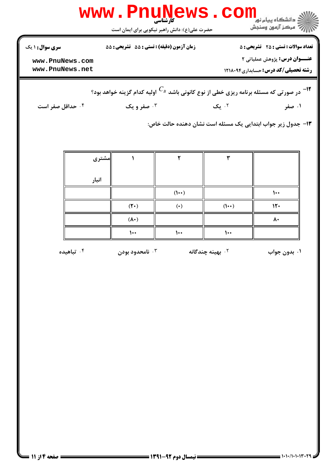| سری سوال : ۱ یک                    | زمان آزمون (دقیقه) : تستی : 55 آتشریحی : 55 |               |                              | <b>تعداد سوالات : تستی : 25 ۔ تشریحی : 5</b>                                                               |
|------------------------------------|---------------------------------------------|---------------|------------------------------|------------------------------------------------------------------------------------------------------------|
| www.PnuNews.com<br>www.PnuNews.net |                                             |               |                              | <b>عنـــوان درس:</b> پژوهش عملیاتی ۲<br><b>رشته تحصیلی/کد درس:</b> حسابداری1۲۱۸۰۹۴                         |
|                                    |                                             |               |                              | در صورتی که مسئله برنامه ریزی خطی از نوع کانونی باشد $^{C_{B}}$ اولیه کدام گزینه خواهد بود؟ $^{-{\sf 17}}$ |
| ۰۴ حداقل صفر است                   | ۰۳ صفر و یک                                 |               | ۰۲ یک                        | ۰۱ صفر                                                                                                     |
|                                    |                                             |               |                              | ۱۳– جدول زیر جواب ابتدایی یک مسئله است نشان دهنده حالت خاص:                                                |
| مشترى                              |                                             | ٢             | ٣                            |                                                                                                            |
| انبار                              |                                             |               |                              |                                                                                                            |
|                                    |                                             | $($ $\cdots)$ |                              | $\mathcal{L}$                                                                                              |
|                                    | $(Y^{\bullet})$                             | $(\cdot)$     | $(1 \cdot \cdot)$            | 15.                                                                                                        |
|                                    | $(\lambda \cdot)$                           |               |                              | ۸۰                                                                                                         |
|                                    | $\mathcal{L}$                               | $\mathcal{L}$ | $\mathcal{L}$                |                                                                                                            |
| تباهیده $\cdot$ ۴                  | نامحدود بودن $\cdot^{\mathsf{v}}$           |               | ۰ <sup>۲</sup> بهینه چندگانه | ۰۱ بدون جواب                                                                                               |
|                                    |                                             |               |                              |                                                                                                            |
|                                    |                                             |               |                              |                                                                                                            |
|                                    |                                             |               |                              |                                                                                                            |
|                                    |                                             |               |                              |                                                                                                            |

 $= 1.1 - (1.1117)$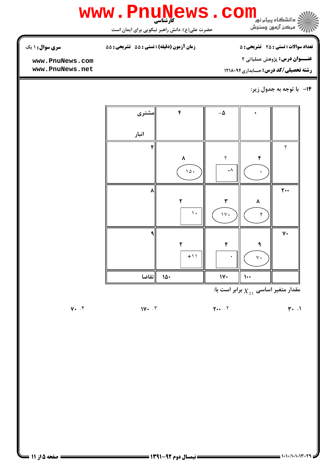

**تعداد سوالات : تستی : 25 - تشریحی : 5** 

زمان آزمون (دقیقه) : تستی : 55 ٪ تشریحی : 55

سری سوال: ۱ یک

عنـــوان درس: پژوهش عملیاتی ۲

www.PnuNews.com www.PnuNews.net

**رشته تحصیلی/کد درس:** حسابداری ۱۲۱۸۰۹۴

۱۴- با توجه به جدول زیر:

| مشترى  | ۴                    | $-\pmb{\upphi}$                                                             |                           |                     |
|--------|----------------------|-----------------------------------------------------------------------------|---------------------------|---------------------|
| انبار  |                      |                                                                             |                           |                     |
| ۴      |                      |                                                                             |                           | $\dot{\mathcal{E}}$ |
|        | ٨<br>$\sqrt{\Delta}$ | $\dot{\mathcal{E}}$<br>$\mathord{\hspace{1pt}\text{--}\hspace{1pt}}\lambda$ | $\pmb{\mathfrak{r}}$<br>٠ |                     |
| ٨      |                      |                                                                             |                           | $\mathbf{r}$ .      |
|        | ٢                    | $\pmb{\breve{v}}$                                                           | ٨                         |                     |
|        | $\mathcal{L}$        | $\sqrt{v}$                                                                  | ę                         |                     |
| ٩      |                      |                                                                             |                           | $\mathsf{v}\cdot$   |
|        | ۲                    | ۴                                                                           | ٩                         |                     |
|        | $+11$                | ٠                                                                           | $\vee$ .                  |                     |
| ∥تقاضا | $10 -$               | $\mathsf{IV}$                                                               | $\mathbf{L}$              |                     |

، مقدار متغیر اساسی  $\overline{X}_{23}$  برابر است با

 $\mathbf{y} \cdot \mathbf{y}$ .  $\mathbf{y} \cdot \mathbf{y}$  $\mathbf{r}$ .  $\mathbf{r}$ 

 $1V \cdot T$ 

 $y \cdot \cdot f$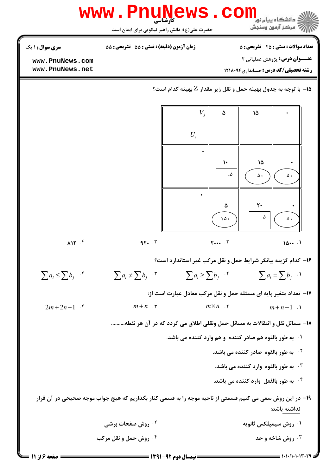

| <b>10 روش صفحات برشی</b> ۔        | ۰۱ روش سیمپلکس ثانویه   |
|-----------------------------------|-------------------------|
| ۰ <sup>۴</sup> روش حمل و نقل مرکب | <b>40 روش شاخه و حد</b> |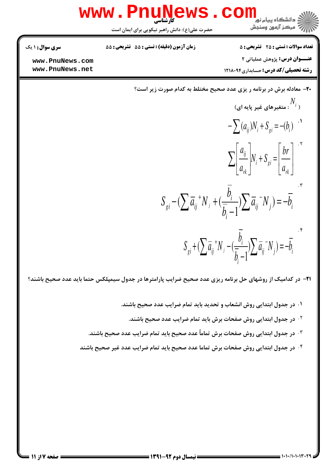

 $S_{gi} + (\sum \overline{a}_{ij}^{\ +} N_j - (\frac{\overline{b}_{i}}{\overline{b}_{i}-1}) \sum \overline{a}_{ij}^{\ -} N_j) = -\overline{b}_{i}$ 

**۲۱**- در کدامیک از روشهای حل برنامه ریزی عدد صحیح ضرایب پارامترها در جدول سیمپلکس حتما باید عدد صحیح باشند؟

- ۰۱ در جدول ابتدایی روش انشعاب و تحدید باید تمام ضرایب عدد صحیح باشند.
	- <sup>۲ .</sup> در جدول ابتدایی روش صفحات برش باید تمام ضرایب عدد صحیح باشند.
- ۰۳ در جدول ابتدایی روش صفحات برش تماماً عدد صحیح باید تمام ضرایب عدد صحیح باشند.
- <sup>۴ .</sup> در جدول ابتدایی روش صفحات برش تماما عدد صحیح باید تمام ضرایب عدد غیر صحیح باشند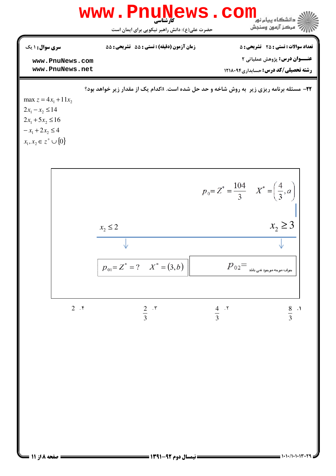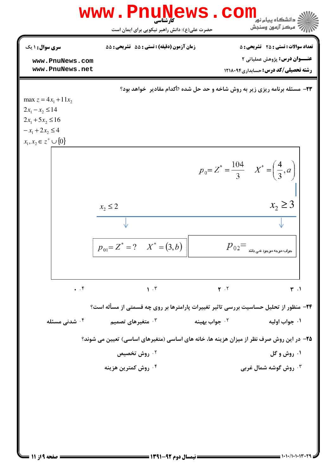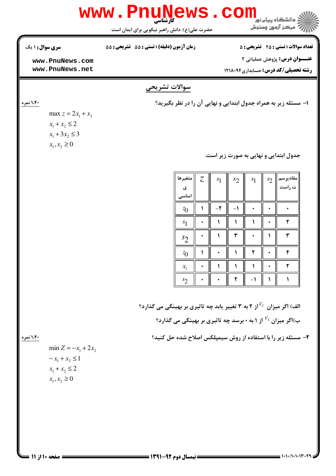

**: صفحه 10ز 11 =** 

## Www.PnuNews.com زمان آزمون (دقیقه) : تستی : 55 ٪ تشریحی : 55

**سری سوال : ۱ یک** 

۱،۴۰ نمره

www.PnuNews.com www.PnuNews.net

max  $z = 2x_1 + x_2$ 

 $x_1 + x_2 \leq 2$  $x_1 + 3x_2 \leq 3$  $x_1, x_2 \geq 0$ 

## سوالات تشريحي

ا- مسئله زیر به همراه جدول ابتدایی و نهایی آن را در نظر بگیرید؟

جدول ابتدایی و نهایی به صورت زیر است.

| متغيرها<br>ى<br>اساسی | $\overline{\mathcal{L}}$ | $x_1$   | $x_2$ | $s_1$ | $s_2$ | مقادیرسم<br>ت راست |
|-----------------------|--------------------------|---------|-------|-------|-------|--------------------|
| $\sqrt[7]{0}$         |                          | $-\tau$ |       |       |       |                    |
| $s_1$                 |                          |         |       |       |       |                    |
| $s_2$                 |                          |         |       |       |       |                    |
| $\sqrt[7]{0}$         |                          |         |       |       |       | ۴                  |
| $x_{1}$               |                          |         |       |       |       |                    |
| $s_2$                 |                          |         |       |       |       |                    |

الف) اگر میزان <sup>41</sup>از ۲ به ۳ تغییر پابد چه تاثیری بر بهینگی می گذارد؟ ب)اگر میزان ا $\overline{c}_1$  از ۱ به ۰ برسد چه تاثیری بر بهینگی می گذارد؟

۲- مسئله زیر را با استفاده از روش سیمپلکس اصلاح شده حل کنید؟

۱،۴۰ نمره

min  $Z = -x_1 + 2x_2$  $-x_1 + x_2 \leq 1$  $x_1 + x_2 \leq 2$  $x_1, x_2 \ge 0$ 



**تعداد سوالات : تستی : 25 - تشریحی : 5** 

عنــوان درس: پژوهش عملیاتی ۲

**رشته تحصیلی/کد درس:** حسابداری ۱۲۱۸۰۹۴